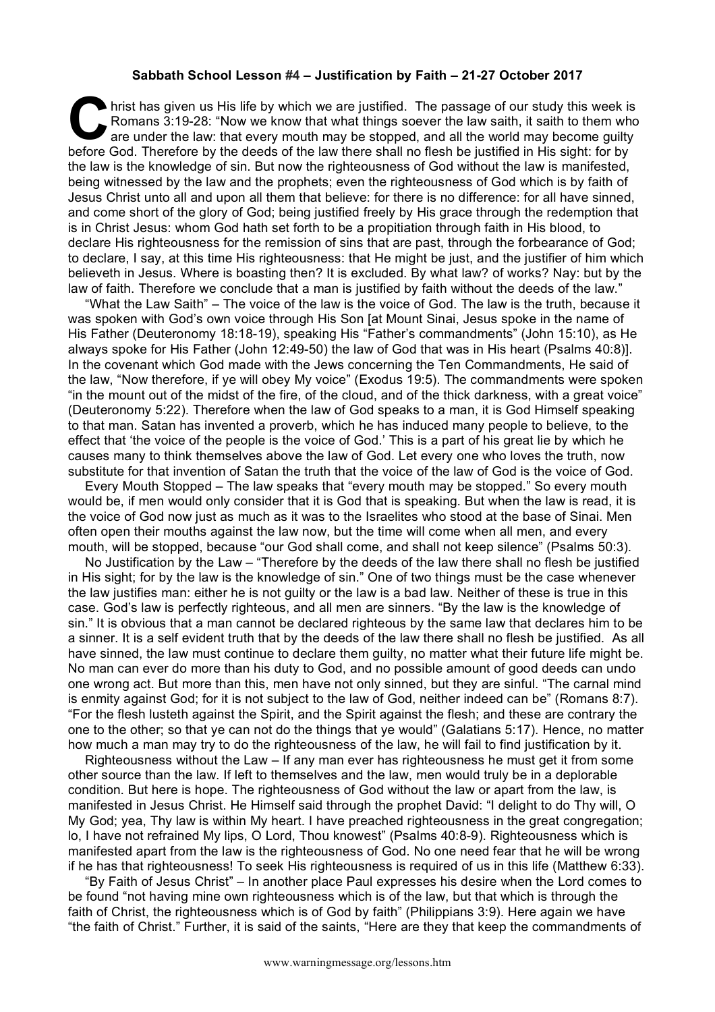## **Sabbath School Lesson #4 – Justification by Faith – 21-27 October 2017**

If hrist has given us His life by which we are justified. The passage of our study this week is Romans 3:19-28: "Now we know that what things soever the law saith, it saith to them who are under the law: that every mouth may be stopped, and all the world may become guilty before God. Therefore by the deeds of the law there shall no flesh be justified in His sight: for by the deeds of the law there shall no flesh be justified in His sight: for by the deeds of the law there shall no flesh be the law is the knowledge of sin. But now the righteousness of God without the law is manifested, being witnessed by the law and the prophets; even the righteousness of God which is by faith of Jesus Christ unto all and upon all them that believe: for there is no difference: for all have sinned, and come short of the glory of God; being justified freely by His grace through the redemption that is in Christ Jesus: whom God hath set forth to be a propitiation through faith in His blood, to declare His righteousness for the remission of sins that are past, through the forbearance of God; to declare, I say, at this time His righteousness: that He might be just, and the justifier of him which believeth in Jesus. Where is boasting then? It is excluded. By what law? of works? Nay: but by the law of faith. Therefore we conclude that a man is justified by faith without the deeds of the law."

"What the Law Saith" – The voice of the law is the voice of God. The law is the truth, because it was spoken with God's own voice through His Son [at Mount Sinai, Jesus spoke in the name of His Father (Deuteronomy 18:18-19), speaking His "Father's commandments" (John 15:10), as He always spoke for His Father (John 12:49-50) the law of God that was in His heart (Psalms 40:8)]. In the covenant which God made with the Jews concerning the Ten Commandments, He said of the law, "Now therefore, if ye will obey My voice" (Exodus 19:5). The commandments were spoken "in the mount out of the midst of the fire, of the cloud, and of the thick darkness, with a great voice" (Deuteronomy 5:22). Therefore when the law of God speaks to a man, it is God Himself speaking to that man. Satan has invented a proverb, which he has induced many people to believe, to the effect that 'the voice of the people is the voice of God.' This is a part of his great lie by which he causes many to think themselves above the law of God. Let every one who loves the truth, now substitute for that invention of Satan the truth that the voice of the law of God is the voice of God.

Every Mouth Stopped – The law speaks that "every mouth may be stopped." So every mouth would be, if men would only consider that it is God that is speaking. But when the law is read, it is the voice of God now just as much as it was to the Israelites who stood at the base of Sinai. Men often open their mouths against the law now, but the time will come when all men, and every mouth, will be stopped, because "our God shall come, and shall not keep silence" (Psalms 50:3).

No Justification by the Law – "Therefore by the deeds of the law there shall no flesh be justified in His sight; for by the law is the knowledge of sin." One of two things must be the case whenever the law justifies man: either he is not guilty or the law is a bad law. Neither of these is true in this case. God's law is perfectly righteous, and all men are sinners. "By the law is the knowledge of sin." It is obvious that a man cannot be declared righteous by the same law that declares him to be a sinner. It is a self evident truth that by the deeds of the law there shall no flesh be justified. As all have sinned, the law must continue to declare them guilty, no matter what their future life might be. No man can ever do more than his duty to God, and no possible amount of good deeds can undo one wrong act. But more than this, men have not only sinned, but they are sinful. "The carnal mind is enmity against God; for it is not subject to the law of God, neither indeed can be" (Romans 8:7). "For the flesh lusteth against the Spirit, and the Spirit against the flesh; and these are contrary the one to the other; so that ye can not do the things that ye would" (Galatians 5:17). Hence, no matter how much a man may try to do the righteousness of the law, he will fail to find justification by it.

Righteousness without the Law – If any man ever has righteousness he must get it from some other source than the law. If left to themselves and the law, men would truly be in a deplorable condition. But here is hope. The righteousness of God without the law or apart from the law, is manifested in Jesus Christ. He Himself said through the prophet David: "I delight to do Thy will, O My God; yea, Thy law is within My heart. I have preached righteousness in the great congregation; lo, I have not refrained My lips, O Lord, Thou knowest" (Psalms 40:8-9). Righteousness which is manifested apart from the law is the righteousness of God. No one need fear that he will be wrong if he has that righteousness! To seek His righteousness is required of us in this life (Matthew 6:33).

"By Faith of Jesus Christ" – In another place Paul expresses his desire when the Lord comes to be found "not having mine own righteousness which is of the law, but that which is through the faith of Christ, the righteousness which is of God by faith" (Philippians 3:9). Here again we have "the faith of Christ." Further, it is said of the saints, "Here are they that keep the commandments of